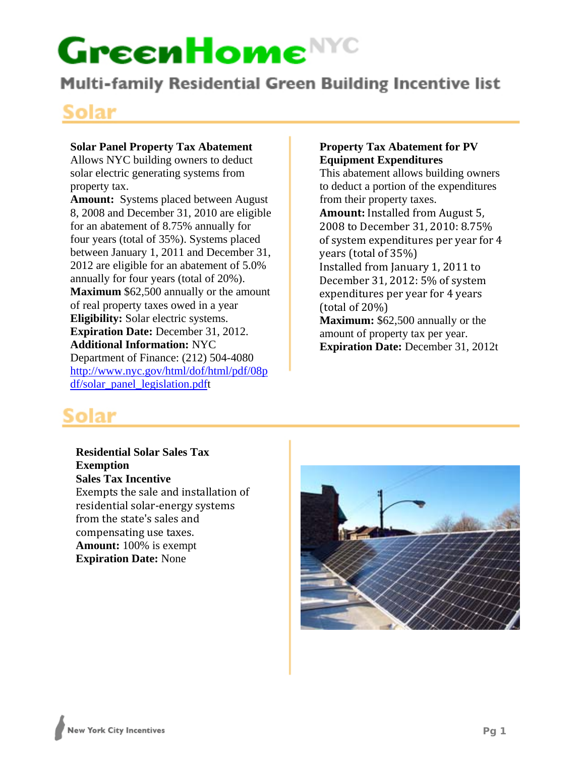**Multi-family Residential Green Building Incentive list** 

### **Solar**

### **Solar Panel Property Tax Abatement**

Allows NYC building owners to deduct solar electric generating systems from property tax.

**Amount:** Systems placed between August 8, 2008 and December 31, 2010 are eligible for an abatement of 8.75% annually for four years (total of 35%). Systems placed between January 1, 2011 and December 31, 2012 are eligible for an abatement of 5.0% annually for four years (total of 20%). **Maximum** \$62,500 annually or the amount of real property taxes owed in a year **Eligibility:** Solar electric systems. **Expiration Date:** December 31, 2012. **Additional Information:** NYC Department of Finance: (212) 504-4080 http://www.nyc.gov/html/dof/html/pdf/08p df/solar\_panel\_legislation.pdft

### **Property Tax Abatement for PV Equipment Expenditures**

This abatement allows building owners to deduct a portion of the expenditures from their property taxes. **Amount:** Installed from August 5, 2008 to December 31, 2010: 8.75% of system expenditures per year for 4 years (total of 35%) Installed from January 1, 2011 to December 31, 2012: 5% of system expenditures per year for 4 years (total of 20%) **Maximum:** \$62,500 annually or the amount of property tax per year. **Expiration Date:** December 31, 2012t

# Solar

**Residential Solar Sales Tax Exemption Sales Tax Incentive**  Exempts the sale and installation of residential solar‐energy systems from the state's sales and compensating use taxes. **Amount:** 100% is exempt **Expiration Date:** None

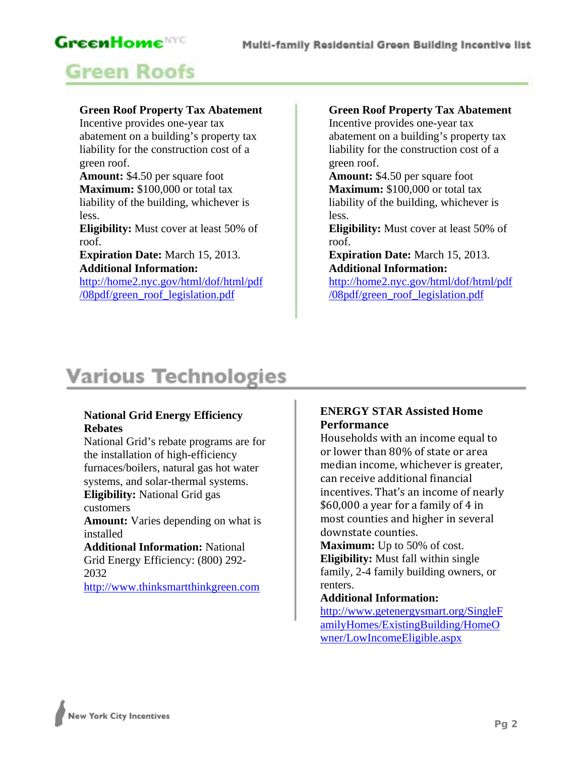# **GreenHome**NYC **Green Roofs**

### **Green Roof Property Tax Abatement**

Incentive provides one-year tax abatement on a building's property tax liability for the construction cost of a green roof.

**Amount:** \$4.50 per square foot **Maximum:** \$100,000 or total tax liability of the building, whichever is less.

**Eligibility:** Must cover at least 50% of roof.

**Expiration Date:** March 15, 2013. **Additional Information:**

http://home2.nyc.gov/html/dof/html/pdf /08pdf/green\_roof\_legislation.pdf

### **Green Roof Property Tax Abatement**

Incentive provides one-year tax abatement on a building's property tax liability for the construction cost of a green roof.

**Amount:** \$4.50 per square foot **Maximum:** \$100,000 or total tax liability of the building, whichever is less.

**Eligibility:** Must cover at least 50% of roof.

**Expiration Date:** March 15, 2013. **Additional Information:**

http://home2.nyc.gov/html/dof/html/pdf /08pdf/green\_roof\_legislation.pdf

# **Various Technologies**

### **National Grid Energy Efficiency Rebates**

National Grid's rebate programs are for the installation of high-efficiency furnaces/boilers, natural gas hot water systems, and solar-thermal systems. **Eligibility:** National Grid gas customers

**Amount:** Varies depending on what is installed

**Additional Information:** National Grid Energy Efficiency: (800) 292- 2032

http://www.thinksmartthinkgreen.com

### **ENERGY STAR Assisted Home Performance**

Households with an income equal to or lower than 80% of state or area median income, whichever is greater, can receive additional financial incentives. That's an income of nearly \$60,000 a year for a family of 4 in most counties and higher in several downstate counties.

**Maximum:** Up to 50% of cost. **Eligibility:** Must fall within single family, 2-4 family building owners, or renters.

### **Additional Information:**

http://www.getenergysmart.org/SingleF amilyHomes/ExistingBuilding/HomeO wner/LowIncomeEligible.aspx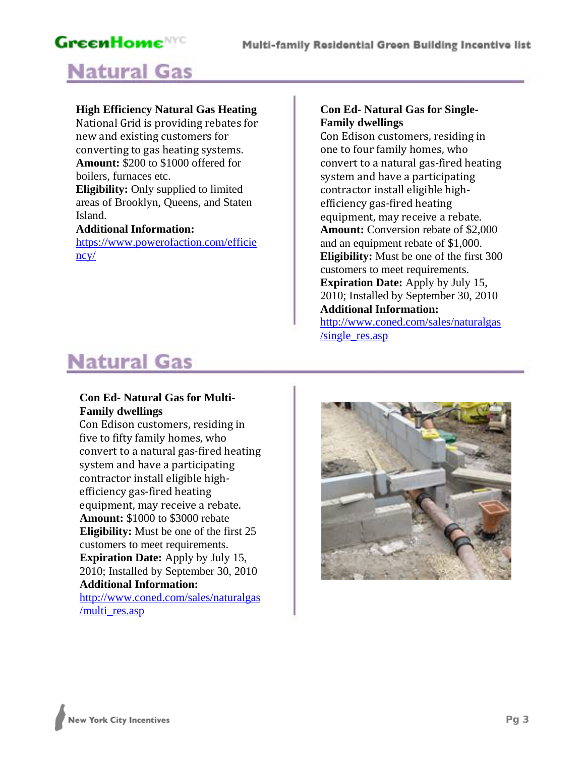### **GreenHome**NYC **Natural Gas**

### **High Efficiency Natural Gas Heating**

National Grid is providing rebates for new and existing customers for converting to gas heating systems. **Amount:** \$200 to \$1000 offered for boilers, furnaces etc. **Eligibility:** Only supplied to limited areas of Brooklyn, Queens, and Staten Island. **Additional Information:**

https://www.powerofaction.com/efficie ncy/

### **Con Ed- Natural Gas for Single-Family dwellings**

Con Edison customers, residing in one to four family homes, who convert to a natural gas‐fired heating system and have a participating contractor install eligible high‐ efficiency gas‐fired heating equipment, may receive a rebate. **Amount:** Conversion rebate of \$2,000 and an equipment rebate of \$1,000. **Eligibility:** Must be one of the first 300 customers to meet requirements. **Expiration Date:** Apply by July 15, 2010; Installed by September 30, 2010 **Additional Information:**

http://www.coned.com/sales/naturalgas /single\_res.asp

# **Natural Gas**

### **Con Ed- Natural Gas for Multi-Family dwellings**

Con Edison customers, residing in five to fifty family homes, who convert to a natural gas‐fired heating system and have a participating contractor install eligible high‐ efficiency gas‐fired heating equipment, may receive a rebate. **Amount:** \$1000 to \$3000 rebate **Eligibility:** Must be one of the first 25 customers to meet requirements. **Expiration Date:** Apply by July 15, 2010; Installed by September 30, 2010 **Additional Information:**

http://www.coned.com/sales/naturalgas /multi\_res.asp

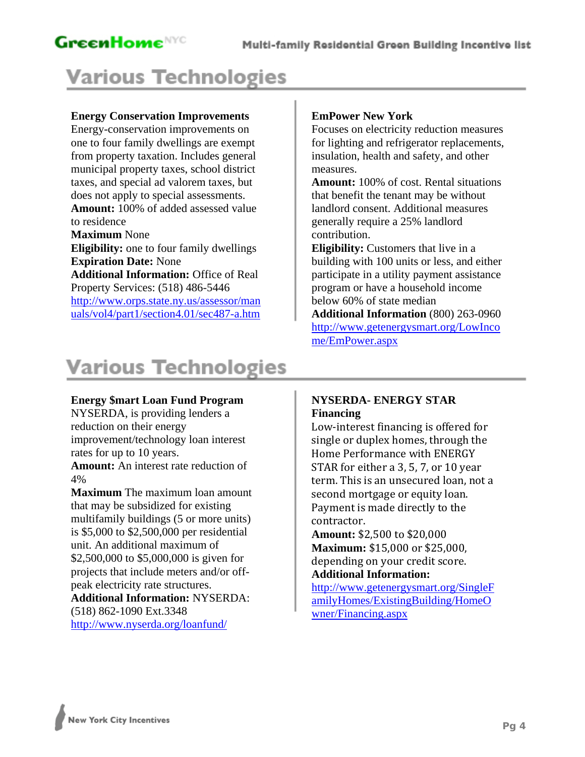# **Various Technologies**

### **Energy Conservation Improvements**

Energy-conservation improvements on one to four family dwellings are exempt from property taxation. Includes general municipal property taxes, school district taxes, and special ad valorem taxes, but does not apply to special assessments. **Amount:** 100% of added assessed value to residence **Maximum** None **Eligibility:** one to four family dwellings **Expiration Date:** None **Additional Information:** Office of Real

Property Services: (518) 486-5446 http://www.orps.state.ny.us/assessor/man uals/vol4/part1/section4.01/sec487-a.htm

### **EmPower New York**

Focuses on electricity reduction measures for lighting and refrigerator replacements, insulation, health and safety, and other measures.

**Amount:** 100% of cost. Rental situations that benefit the tenant may be without landlord consent. Additional measures generally require a 25% landlord contribution.

**Eligibility:** Customers that live in a building with 100 units or less, and either participate in a utility payment assistance program or have a household income below 60% of state median

**Additional Information** (800) 263-0960 http://www.getenergysmart.org/LowInco me/EmPower.aspx

# **Various Technologies**

#### **Energy \$mart Loan Fund Program**

NYSERDA, is providing lenders a reduction on their energy improvement/technology loan interest rates for up to 10 years. **Amount:** An interest rate reduction of 4%

**Maximum** The maximum loan amount that may be subsidized for existing multifamily buildings (5 or more units) is \$5,000 to \$2,500,000 per residential unit. An additional maximum of \$2,500,000 to \$5,000,000 is given for projects that include meters and/or offpeak electricity rate structures. **Additional Information:** NYSERDA:

(518) 862-1090 Ext.3348

http://www.nyserda.org/loanfund/

### **NYSERDA- ENERGY STAR Financing**

Low‐interest financing is offered for single or duplex homes, through the Home Performance with ENERGY STAR for either a 3, 5, 7, or 10 year term. This is an unsecured loan, not a second mortgage or equity loan. Payment is made directly to the contractor.

**Amount:** \$2,500 to \$20,000 **Maximum:** \$15,000 or \$25,000, depending on your credit score. **Additional Information:**

http://www.getenergysmart.org/SingleF amilyHomes/ExistingBuilding/HomeO wner/Financing.aspx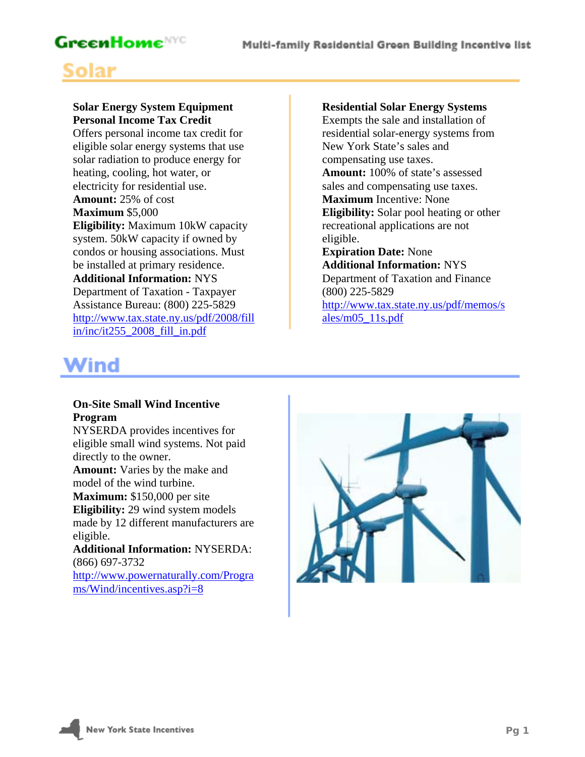### Multi-family Residential Green Building Incentive list

### **GreenHome**NYC

# Solar

### **Solar Energy System Equipment Personal Income Tax Credit**

Offers personal income tax credit for eligible solar energy systems that use solar radiation to produce energy for heating, cooling, hot water, or electricity for residential use. **Amount:** 25% of cost **Maximum** \$5,000 **Eligibility:** Maximum 10kW capacity system. 50kW capacity if owned by condos or housing associations. Must be installed at primary residence. **Additional Information:** NYS Department of Taxation - Taxpayer Assistance Bureau: (800) 225-5829

http://www.tax.state.ny.us/pdf/2008/fill in/inc/it255\_2008\_fill\_in.pdf

#### **Residential Solar Energy Systems**

Exempts the sale and installation of residential solar-energy systems from New York State's sales and compensating use taxes. **Amount:** 100% of state's assessed sales and compensating use taxes. **Maximum** Incentive: None **Eligibility:** Solar pool heating or other recreational applications are not eligible.

#### **Expiration Date:** None **Additional Information:** NYS Department of Taxation and Finance

(800) 225-5829

http://www.tax.state.ny.us/pdf/memos/s ales/m05\_11s.pdf

### **Wind**

#### **On-Site Small Wind Incentive Program**

NYSERDA provides incentives for eligible small wind systems. Not paid directly to the owner.

**Amount:** Varies by the make and model of the wind turbine.

**Maximum:** \$150,000 per site

**Eligibility:** 29 wind system models made by 12 different manufacturers are eligible.

**Additional Information:** NYSERDA: (866) 697-3732 http://www.powernaturally.com/Progra

ms/Wind/incentives.asp?i=8

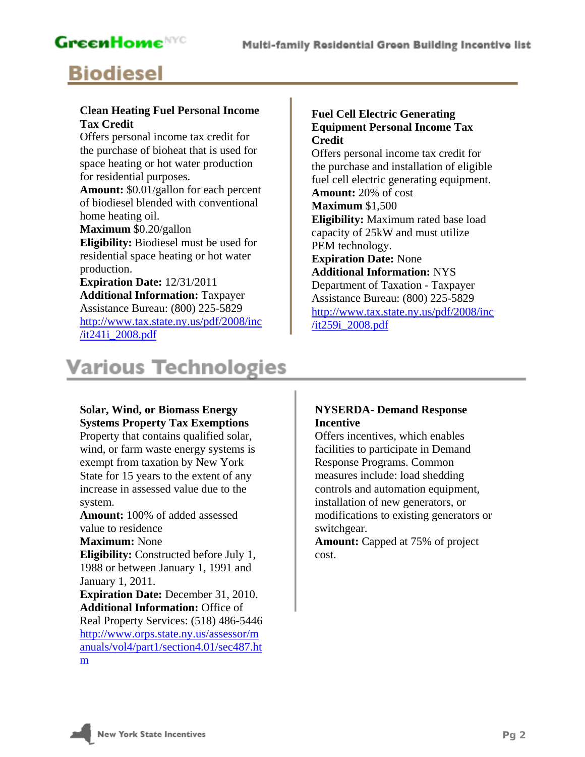### **GreenHome**<sup>NYC</sup>

# **Biodiesel**

### **Clean Heating Fuel Personal Income Tax Credit**

Offers personal income tax credit for the purchase of bioheat that is used for space heating or hot water production for residential purposes. **Amount:** \$0.01/gallon for each percent of biodiesel blended with conventional

home heating oil. **Maximum** \$0.20/gallon

**Eligibility:** Biodiesel must be used for residential space heating or hot water production.

### **Expiration Date:** 12/31/2011 **Additional Information:** Taxpayer Assistance Bureau: (800) 225-5829 http://www.tax.state.ny.us/pdf/2008/inc /it241i\_2008.pdf

# **Various Technologies**

### **Solar, Wind, or Biomass Energy Systems Property Tax Exemptions**

Property that contains qualified solar, wind, or farm waste energy systems is exempt from taxation by New York State for 15 years to the extent of any increase in assessed value due to the system.

**Amount:** 100% of added assessed value to residence

**Maximum:** None

**Eligibility:** Constructed before July 1, 1988 or between January 1, 1991 and January 1, 2011.

**Expiration Date:** December 31, 2010. **Additional Information:** Office of Real Property Services: (518) 486-5446 http://www.orps.state.ny.us/assessor/m anuals/vol4/part1/section4.01/sec487.ht m

### **Fuel Cell Electric Generating Equipment Personal Income Tax Credit**

Offers personal income tax credit for the purchase and installation of eligible fuel cell electric generating equipment. **Amount:** 20% of cost **Maximum** \$1,500 **Eligibility:** Maximum rated base load capacity of 25kW and must utilize PEM technology. **Expiration Date:** None **Additional Information:** NYS Department of Taxation - Taxpayer Assistance Bureau: (800) 225-5829 http://www.tax.state.ny.us/pdf/2008/inc /it259i\_2008.pdf

### **NYSERDA- Demand Response Incentive**

Offers incentives, which enables facilities to participate in Demand Response Programs. Common measures include: load shedding controls and automation equipment, installation of new generators, or modifications to existing generators or switchgear.

**Amount:** Capped at 75% of project cost.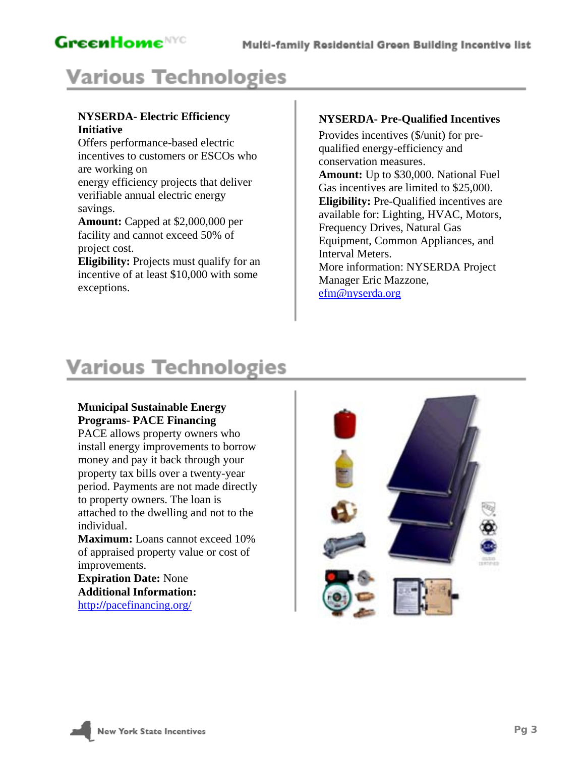# **Various Technologies**

### **NYSERDA- Electric Efficiency Initiative**

Offers performance-based electric incentives to customers or ESCOs who are working on energy efficiency projects that deliver verifiable annual electric energy savings.

**Amount:** Capped at \$2,000,000 per facility and cannot exceed 50% of project cost.

**Eligibility:** Projects must qualify for an incentive of at least \$10,000 with some exceptions.

### **NYSERDA- Pre-Qualified Incentives**

Provides incentives (\$/unit) for prequalified energy-efficiency and conservation measures. **Amount:** Up to \$30,000. National Fuel Gas incentives are limited to \$25,000. **Eligibility:** Pre-Qualified incentives are available for: Lighting, HVAC, Motors, Frequency Drives, Natural Gas Equipment, Common Appliances, and Interval Meters. More information: NYSERDA Project Manager Eric Mazzone, efm@nyserda.org

# **Various Technologies**

#### **Municipal Sustainable Energy Programs- PACE Financing**

PACE allows property owners who install energy improvements to borrow money and pay it back through your property tax bills over a twenty-year period. Payments are not made directly to property owners. The loan is attached to the dwelling and not to the individual.

**Maximum:** Loans cannot exceed 10% of appraised property value or cost of improvements.

**Expiration Date:** None **Additional Information:**  http**://**pacefinancing.org/

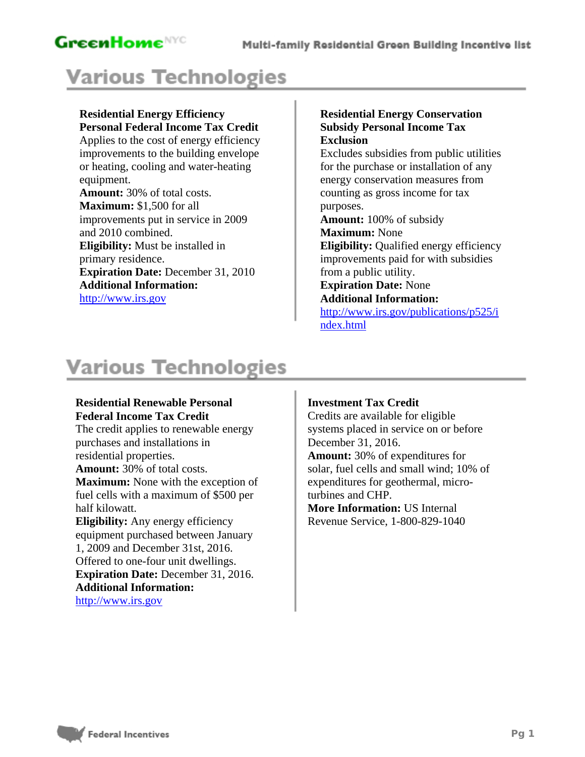# **Various Technologies**

#### **Residential Energy Efficiency Personal Federal Income Tax Credit**

Applies to the cost of energy efficiency improvements to the building envelope or heating, cooling and water-heating equipment. **Amount:** 30% of total costs. **Maximum:** \$1,500 for all improvements put in service in 2009 and 2010 combined. **Eligibility:** Must be installed in primary residence. **Expiration Date:** December 31, 2010 **Additional Information:** http://www.irs.gov

### **Residential Energy Conservation Subsidy Personal Income Tax Exclusion**

Excludes subsidies from public utilities for the purchase or installation of any energy conservation measures from counting as gross income for tax purposes.

**Amount:** 100% of subsidy **Maximum:** None **Eligibility:** Qualified energy efficiency improvements paid for with subsidies from a public utility. **Expiration Date:** None

#### **Additional Information:**

http://www.irs.gov/publications/p525/i ndex.html

# **Various Technologies**

#### **Residential Renewable Personal Federal Income Tax Credit**

The credit applies to renewable energy purchases and installations in residential properties. **Amount:** 30% of total costs. **Maximum:** None with the exception of fuel cells with a maximum of \$500 per half kilowatt. **Eligibility:** Any energy efficiency equipment purchased between January 1, 2009 and December 31st, 2016. Offered to one-four unit dwellings. **Expiration Date:** December 31, 2016. **Additional Information:**

http://www.irs.gov

### **Investment Tax Credit**

Credits are available for eligible systems placed in service on or before December 31, 2016. **Amount:** 30% of expenditures for solar, fuel cells and small wind; 10% of expenditures for geothermal, microturbines and CHP. **More Information:** US Internal Revenue Service, 1-800-829-1040